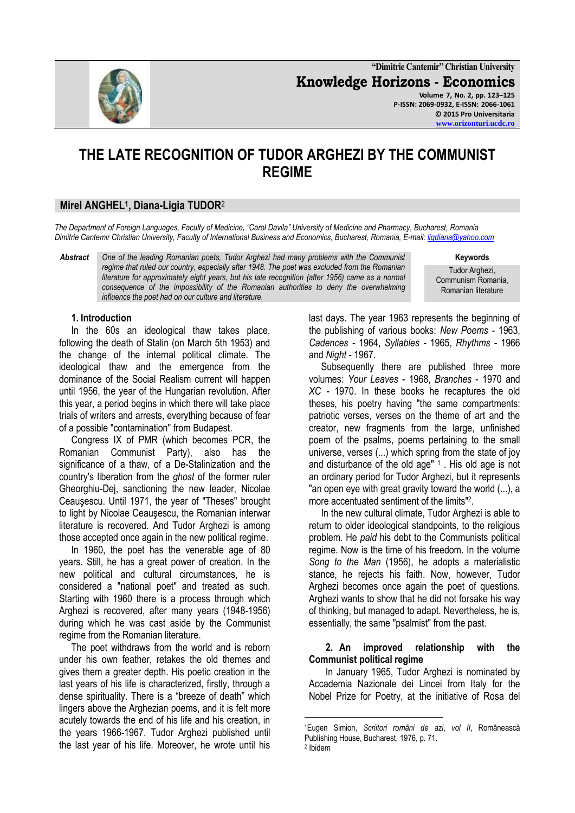

**"Dimitrie Cantemir" Christian University Knowledge Horizons - Economics Volume 7, No. 2, pp. 123–125**

**P-ISSN: 2069-0932, E-ISSN: 2066-1061 © 2015 Pro Universitaria [www.orizonturi.ucdc.ro](http://www.orizonturi.ucdc.ro/)**

# **THE LATE RECOGNITION OF TUDOR ARGHEZI BY THE COMMUNIST REGIME**

# **Mirel ANGHEL<sup>1</sup> , Diana-Ligia TUDOR**<sup>2</sup>

*The Department of Foreign Languages, Faculty of Medicine, "Carol Davila" University of Medicine and Pharmacy, Bucharest, Romania Dimitrie Cantemir Christian University, Faculty of International Business and Economics, Bucharest, Romania, E-mail[: ligdiana@yahoo.com](mailto:ligdiana@yahoo.com)*

*Abstract One of the leading Romanian poets, Tudor Arghezi had many problems with the Communist regime that ruled our country, especially after 1948. The poet was excluded from the Romanian literature for approximately eight years, but his late recognition (after 1956) came as a normal consequence of the impossibility of the Romanian authorities to deny the overwhelming influence the poet had on our culture and literature.* 

**Keywords**

Tudor Arghezi, Communism Romania, Romanian literature

#### **1. Introduction**

In the 60s an ideological thaw takes place, following the death of Stalin (on March 5th 1953) and the change of the internal political climate. The ideological thaw and the emergence from the dominance of the Social Realism current will happen until 1956, the year of the Hungarian revolution. After this year, a period begins in which there will take place trials of writers and arrests, everything because of fear of a possible "contamination" from Budapest.

Congress IX of PMR (which becomes PCR, the Romanian Communist Party), also has the significance of a thaw, of a De-Stalinization and the country's liberation from the *ghost* of the former ruler Gheorghiu-Dej, sanctioning the new leader, Nicolae Ceauşescu. Until 1971, the year of "Theses" brought to light by Nicolae Ceauşescu, the Romanian interwar literature is recovered. And Tudor Arghezi is among those accepted once again in the new political regime.

In 1960, the poet has the venerable age of 80 years. Still, he has a great power of creation. In the new political and cultural circumstances, he is considered a "national poet" and treated as such. Starting with 1960 there is a process through which Arghezi is recovered, after many years (1948-1956) during which he was cast aside by the Communist regime from the Romanian literature.

The poet withdraws from the world and is reborn under his own feather, retakes the old themes and gives them a greater depth. His poetic creation in the last years of his life is characterized, firstly, through a dense spirituality. There is a "breeze of death" which lingers above the Arghezian poems, and it is felt more acutely towards the end of his life and his creation, in the years 1966-1967. Tudor Arghezi published until the last year of his life. Moreover, he wrote until his

last days. The year 1963 represents the beginning of the publishing of various books: *New Poems -* 1963, *Cadences -* 1964, *Syllables -* 1965, *Rhythms -* 1966 and *Night* - 1967.

Subsequently there are published three more volumes: *Your Leaves* - 1968, *Branches* - 1970 and *XC -* 1970. In these books he recaptures the old theses, his poetry having "the same compartments: patriotic verses, verses on the theme of art and the creator, new fragments from the large, unfinished poem of the psalms, poems pertaining to the small universe, verses (...) which spring from the state of joy and disturbance of the old age" <sup>1</sup> . His old age is not an ordinary period for Tudor Arghezi, but it represents "an open eye with great gravity toward the world (...), a more accentuated sentiment of the limits"<sup>2</sup> .

In the new cultural climate, Tudor Arghezi is able to return to older ideological standpoints, to the religious problem. He *paid* his debt to the Communists political regime. Now is the time of his freedom. In the volume *Song to the Man* (1956), he adopts a materialistic stance, he rejects his faith. Now, however, Tudor Arghezi becomes once again the poet of questions. Arghezi wants to show that he did not forsake his way of thinking, but managed to adapt. Nevertheless, he is, essentially, the same "psalmist" from the past.

#### **2. An improved relationship with the Communist political regime**

In January 1965, Tudor Arghezi is nominated by Accademia Nazionale dei Lincei from Italy for the Nobel Prize for Poetry, at the initiative of Rosa del

1

<sup>1</sup>Eugen Simion, *Scriitori români de azi*, *vol II*, Românească Publishing House, Bucharest, 1976, p. 71.

<sup>2</sup> Ibidem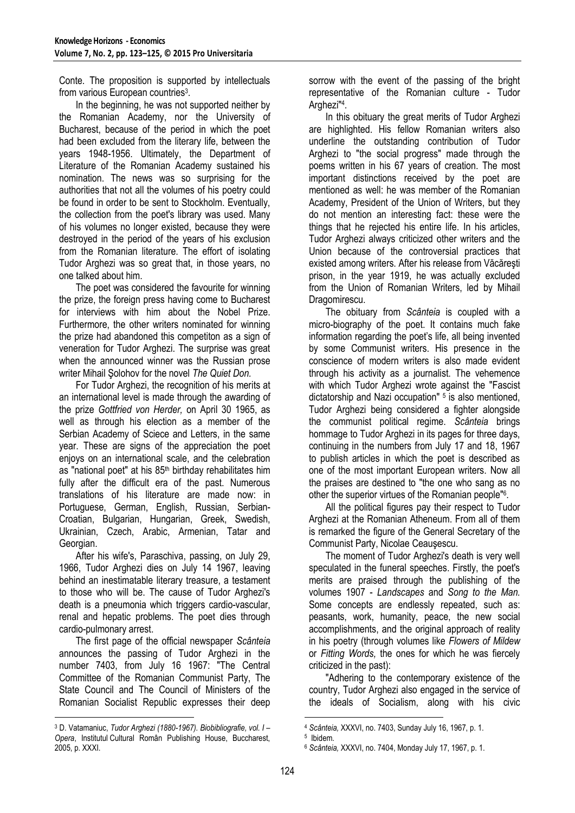Conte. The proposition is supported by intellectuals from various European countries<sup>3</sup>.

In the beginning, he was not supported neither by the Romanian Academy, nor the University of Bucharest, because of the period in which the poet had been excluded from the literary life, between the years 1948-1956. Ultimately, the Department of Literature of the Romanian Academy sustained his nomination. The news was so surprising for the authorities that not all the volumes of his poetry could be found in order to be sent to Stockholm. Eventually, the collection from the poet's library was used. Many of his volumes no longer existed, because they were destroyed in the period of the years of his exclusion from the Romanian literature. The effort of isolating Tudor Arghezi was so great that, in those years, no one talked about him.

The poet was considered the favourite for winning the prize, the foreign press having come to Bucharest for interviews with him about the Nobel Prize. Furthermore, the other writers nominated for winning the prize had abandoned this competiton as a sign of veneration for Tudor Arghezi. The surprise was great when the announced winner was the Russian prose writer Mihail Şolohov for the novel *The Quiet Don.*

For Tudor Arghezi, the recognition of his merits at an international level is made through the awarding of the prize *Gottfried von Herder,* on April 30 1965, as well as through his election as a member of the Serbian Academy of Sciece and Letters, in the same year. These are signs of the appreciation the poet enjoys on an international scale, and the celebration as "national poet" at his 85<sup>th</sup> birthday rehabilitates him fully after the difficult era of the past. Numerous translations of his literature are made now: in Portuguese, German, English, Russian, Serbian-Croatian, Bulgarian, Hungarian, Greek, Swedish, Ukrainian, Czech, Arabic, Armenian, Tatar and Georgian.

After his wife's, Paraschiva, passing, on July 29, 1966, Tudor Arghezi dies on July 14 1967, leaving behind an inestimatable literary treasure, a testament to those who will be. The cause of Tudor Arghezi's death is a pneumonia which triggers cardio-vascular, renal and hepatic problems. The poet dies through cardio-pulmonary arrest.

The first page of the official newspaper *Scânteia*  announces the passing of Tudor Arghezi in the number 7403, from July 16 1967: "The Central Committee of the Romanian Communist Party, The State Council and The Council of Ministers of the Romanian Socialist Republic expresses their deep

1

sorrow with the event of the passing of the bright representative of the Romanian culture - Tudor Arghezi"<sup>4</sup> .

In this obituary the great merits of Tudor Arghezi are highlighted. His fellow Romanian writers also underline the outstanding contribution of Tudor Arghezi to "the social progress" made through the poems written in his 67 years of creation. The most important distinctions received by the poet are mentioned as well: he was member of the Romanian Academy, President of the Union of Writers, but they do not mention an interesting fact: these were the things that he rejected his entire life. In his articles, Tudor Arghezi always criticized other writers and the Union because of the controversial practices that existed among writers. After his release from Văcăreşti prison, in the year 1919, he was actually excluded from the Union of Romanian Writers, led by Mihail Dragomirescu.

The obituary from *Scânteia* is coupled with a micro-biography of the poet. It contains much fake information regarding the poet's life, all being invented by some Communist writers. His presence in the conscience of modern writers is also made evident through his activity as a journalist. The vehemence with which Tudor Arghezi wrote against the "Fascist dictatorship and Nazi occupation" <sup>5</sup> is also mentioned, Tudor Arghezi being considered a fighter alongside the communist political regime. *Scânteia* brings hommage to Tudor Arghezi in its pages for three days, continuing in the numbers from July 17 and 18, 1967 to publish articles in which the poet is described as one of the most important European writers. Now all the praises are destined to "the one who sang as no other the superior virtues of the Romanian people"<sup>6</sup> .

All the political figures pay their respect to Tudor Arghezi at the Romanian Atheneum. From all of them is remarked the figure of the General Secretary of the Communist Party, Nicolae Ceauşescu.

The moment of Tudor Arghezi's death is very well speculated in the funeral speeches. Firstly, the poet's merits are praised through the publishing of the volumes 1907 - *Landscapes* and *Song to the Man.* Some concepts are endlessly repeated, such as: peasants, work, humanity, peace, the new social accomplishments, and the original approach of reality in his poetry (through volumes like *Flowers of Mildew* or *Fitting Words,* the ones for which he was fiercely criticized in the past):

"Adhering to the contemporary existence of the country, Tudor Arghezi also engaged in the service of the ideals of Socialism, along with his civic

1

<sup>3</sup> D. Vatamaniuc, *Tudor Arghezi (1880-1967). Biobibliografie, vol. I – Opera*, Institutul Cultural Român Publishing House, Buccharest, 2005, p. XXXI.

<sup>4</sup> *Scânteia,* XXXVI, no. 7403, Sunday July 16, 1967, p. 1.

<sup>5</sup> Ibidem.

<sup>6</sup> *Scânteia,* XXXVI, no. 7404, Monday July 17, 1967, p. 1.